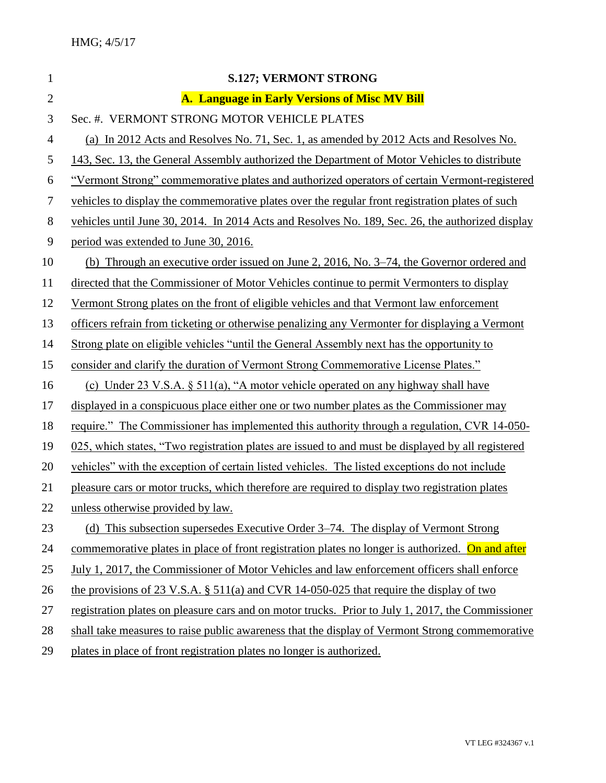| $\mathbf{1}$   | <b>S.127; VERMONT STRONG</b>                                                                      |
|----------------|---------------------------------------------------------------------------------------------------|
| $\overline{2}$ | A. Language in Early Versions of Misc MV Bill                                                     |
| 3              | Sec. #. VERMONT STRONG MOTOR VEHICLE PLATES                                                       |
| $\overline{4}$ | (a) In 2012 Acts and Resolves No. 71, Sec. 1, as amended by 2012 Acts and Resolves No.            |
| 5              | 143, Sec. 13, the General Assembly authorized the Department of Motor Vehicles to distribute      |
| 6              | "Vermont Strong" commemorative plates and authorized operators of certain Vermont-registered      |
| 7              | vehicles to display the commemorative plates over the regular front registration plates of such   |
| $8\,$          | vehicles until June 30, 2014. In 2014 Acts and Resolves No. 189, Sec. 26, the authorized display  |
| 9              | period was extended to June 30, 2016.                                                             |
| 10             | (b) Through an executive order issued on June 2, 2016, No. 3–74, the Governor ordered and         |
| 11             | directed that the Commissioner of Motor Vehicles continue to permit Vermonters to display         |
| 12             | Vermont Strong plates on the front of eligible vehicles and that Vermont law enforcement          |
| 13             | officers refrain from ticketing or otherwise penalizing any Vermonter for displaying a Vermont    |
| 14             | Strong plate on eligible vehicles "until the General Assembly next has the opportunity to         |
| 15             | consider and clarify the duration of Vermont Strong Commemorative License Plates."                |
| 16             | (c) Under 23 V.S.A. § 511(a), "A motor vehicle operated on any highway shall have                 |
| 17             | displayed in a conspicuous place either one or two number plates as the Commissioner may          |
| 18             | require." The Commissioner has implemented this authority through a regulation, CVR 14-050-       |
| 19             | 025, which states, "Two registration plates are issued to and must be displayed by all registered |
| 20             | vehicles" with the exception of certain listed vehicles. The listed exceptions do not include     |
| 21             | pleasure cars or motor trucks, which therefore are required to display two registration plates    |
| 22             | unless otherwise provided by law.                                                                 |
| 23             | (d) This subsection supersedes Executive Order 3–74. The display of Vermont Strong                |
| 24             | commemorative plates in place of front registration plates no longer is authorized. On and after  |
| 25             | July 1, 2017, the Commissioner of Motor Vehicles and law enforcement officers shall enforce       |
| 26             | the provisions of 23 V.S.A. $\S$ 511(a) and CVR 14-050-025 that require the display of two        |
| 27             | registration plates on pleasure cars and on motor trucks. Prior to July 1, 2017, the Commissioner |
| 28             | shall take measures to raise public awareness that the display of Vermont Strong commemorative    |
| 29             | plates in place of front registration plates no longer is authorized.                             |